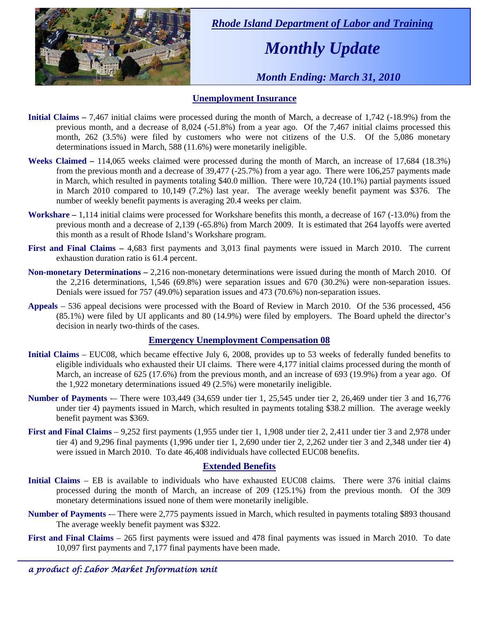

 *Rhode Island Department of Labor and Training* 

# *Monthly Update*

 *Month Ending: March 31, 2010* 

### **Unemployment Insurance**

- **Initial Claims** 7,467 initial claims were processed during the month of March, a decrease of 1,742 (-18.9%) from the previous month, and a decrease of 8,024 (-51.8%) from a year ago. Of the 7,467 initial claims processed this month, 262 (3.5%) were filed by customers who were not citizens of the U.S. Of the 5,086 monetary determinations issued in March, 588 (11.6%) were monetarily ineligible.
- **Weeks Claimed** 114,065 weeks claimed were processed during the month of March, an increase of 17,684 (18.3%) from the previous month and a decrease of 39,477 (-25.7%) from a year ago. There were 106,257 payments made in March, which resulted in payments totaling \$40.0 million. There were 10,724 (10.1%) partial payments issued in March 2010 compared to 10,149 (7.2%) last year. The average weekly benefit payment was \$376. The number of weekly benefit payments is averaging 20.4 weeks per claim.
- **Workshare –** 1,114 initial claims were processed for Workshare benefits this month, a decrease of 167 (-13.0%) from the previous month and a decrease of 2,139 (-65.8%) from March 2009. It is estimated that 264 layoffs were averted this month as a result of Rhode Island's Workshare program.
- **First and Final Claims –** 4,683 first payments and 3,013 final payments were issued in March 2010. The current exhaustion duration ratio is 61.4 percent.
- **Non-monetary Determinations –** 2,216 non-monetary determinations were issued during the month of March 2010. Of the 2,216 determinations, 1,546 (69.8%) were separation issues and 670 (30.2%) were non-separation issues. Denials were issued for 757 (49.0%) separation issues and 473 (70.6%) non-separation issues.
- **Appeals** 536 appeal decisions were processed with the Board of Review in March 2010. Of the 536 processed, 456 (85.1%) were filed by UI applicants and 80 (14.9%) were filed by employers. The Board upheld the director's decision in nearly two-thirds of the cases.

### **Emergency Unemployment Compensation 08**

- **Initial Claims**  EUC08, which became effective July 6, 2008, provides up to 53 weeks of federally funded benefits to eligible individuals who exhausted their UI claims. There were 4,177 initial claims processed during the month of March, an increase of 625 (17.6%) from the previous month, and an increase of 693 (19.9%) from a year ago. Of the 1,922 monetary determinations issued  $49(2.5%)$  were monetarily ineligible.
- **Number of Payments** There were 103,449 (34,659 under tier 1, 25,545 under tier 2, 26,469 under tier 3 and 16,776 under tier 4) payments issued in March, which resulted in payments totaling \$38.2 million. The average weekly benefit payment was \$369.
- **First and Final Claims**  9,252 first payments (1,955 under tier 1, 1,908 under tier 2, 2,411 under tier 3 and 2,978 under tier 4) and 9,296 final payments (1,996 under tier 1, 2,690 under tier 2, 2,262 under tier 3 and 2,348 under tier 4) were issued in March 2010. To date 46,408 individuals have collected EUC08 benefits.

### **Extended Benefits**

- **Initial Claims**  EB is available to individuals who have exhausted EUC08 claims. There were 376 initial claims processed during the month of March, an increase of 209 (125.1%) from the previous month. Of the 309 monetary determinations issued none of them were monetarily ineligible.
- **Number of Payments** There were 2,775 payments issued in March, which resulted in payments totaling \$893 thousand The average weekly benefit payment was \$322.
- **First and Final Claims**  265 first payments were issued and 478 final payments was issued in March 2010. To date 10,097 first payments and 7,177 final payments have been made.